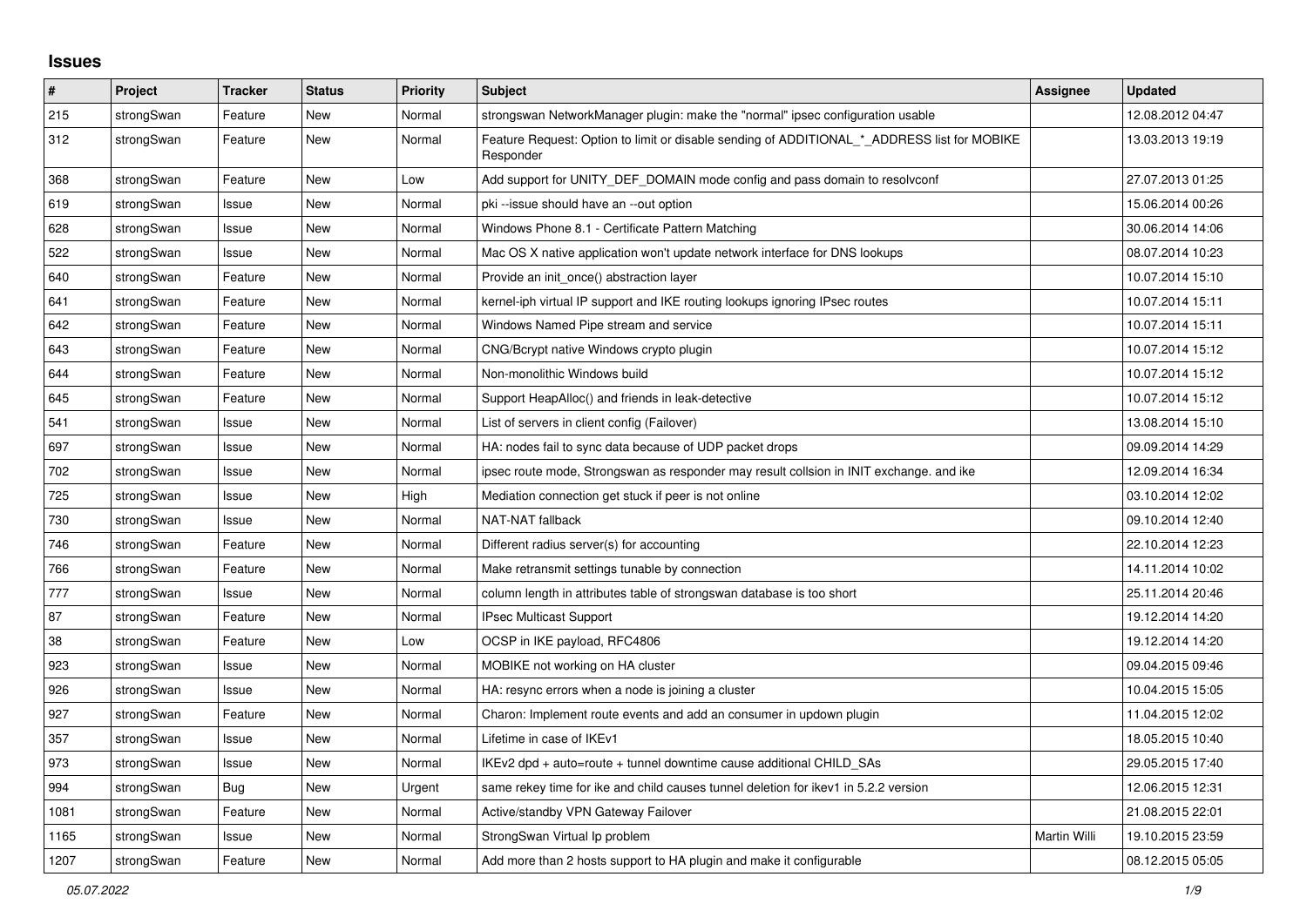## **Issues**

| #    | Project    | <b>Tracker</b> | <b>Status</b> | <b>Priority</b> | <b>Subject</b>                                                                                           | Assignee     | <b>Updated</b>   |
|------|------------|----------------|---------------|-----------------|----------------------------------------------------------------------------------------------------------|--------------|------------------|
| 215  | strongSwan | Feature        | <b>New</b>    | Normal          | strongswan NetworkManager plugin: make the "normal" ipsec configuration usable                           |              | 12.08.2012 04:47 |
| 312  | strongSwan | Feature        | <b>New</b>    | Normal          | Feature Request: Option to limit or disable sending of ADDITIONAL_*_ADDRESS list for MOBIKE<br>Responder |              | 13.03.2013 19:19 |
| 368  | strongSwan | Feature        | New           | Low             | Add support for UNITY_DEF_DOMAIN mode config and pass domain to resolvconf                               |              | 27.07.2013 01:25 |
| 619  | strongSwan | Issue          | <b>New</b>    | Normal          | pki --issue should have an --out option                                                                  |              | 15.06.2014 00:26 |
| 628  | strongSwan | Issue          | <b>New</b>    | Normal          | Windows Phone 8.1 - Certificate Pattern Matching                                                         |              | 30.06.2014 14:06 |
| 522  | strongSwan | Issue          | <b>New</b>    | Normal          | Mac OS X native application won't update network interface for DNS lookups                               |              | 08.07.2014 10:23 |
| 640  | strongSwan | Feature        | New           | Normal          | Provide an init_once() abstraction layer                                                                 |              | 10.07.2014 15:10 |
| 641  | strongSwan | Feature        | <b>New</b>    | Normal          | kernel-iph virtual IP support and IKE routing lookups ignoring IPsec routes                              |              | 10.07.2014 15:11 |
| 642  | strongSwan | Feature        | New           | Normal          | Windows Named Pipe stream and service                                                                    |              | 10.07.2014 15:11 |
| 643  | strongSwan | Feature        | <b>New</b>    | Normal          | CNG/Bcrypt native Windows crypto plugin                                                                  |              | 10.07.2014 15:12 |
| 644  | strongSwan | Feature        | <b>New</b>    | Normal          | Non-monolithic Windows build                                                                             |              | 10.07.2014 15:12 |
| 645  | strongSwan | Feature        | <b>New</b>    | Normal          | Support HeapAlloc() and friends in leak-detective                                                        |              | 10.07.2014 15:12 |
| 541  | strongSwan | Issue          | <b>New</b>    | Normal          | List of servers in client config (Failover)                                                              |              | 13.08.2014 15:10 |
| 697  | strongSwan | Issue          | <b>New</b>    | Normal          | HA: nodes fail to sync data because of UDP packet drops                                                  |              | 09.09.2014 14:29 |
| 702  | strongSwan | Issue          | <b>New</b>    | Normal          | ipsec route mode, Strongswan as responder may result collsion in INIT exchange. and ike                  |              | 12.09.2014 16:34 |
| 725  | strongSwan | Issue          | <b>New</b>    | High            | Mediation connection get stuck if peer is not online                                                     |              | 03.10.2014 12:02 |
| 730  | strongSwan | Issue          | <b>New</b>    | Normal          | NAT-NAT fallback                                                                                         |              | 09.10.2014 12:40 |
| 746  | strongSwan | Feature        | <b>New</b>    | Normal          | Different radius server(s) for accounting                                                                |              | 22.10.2014 12:23 |
| 766  | strongSwan | Feature        | New           | Normal          | Make retransmit settings tunable by connection                                                           |              | 14.11.2014 10:02 |
| 777  | strongSwan | Issue          | <b>New</b>    | Normal          | column length in attributes table of strongswan database is too short                                    |              | 25.11.2014 20:46 |
| 87   | strongSwan | Feature        | New           | Normal          | IPsec Multicast Support                                                                                  |              | 19.12.2014 14:20 |
| 38   | strongSwan | Feature        | New           | Low             | OCSP in IKE payload, RFC4806                                                                             |              | 19.12.2014 14:20 |
| 923  | strongSwan | Issue          | <b>New</b>    | Normal          | MOBIKE not working on HA cluster                                                                         |              | 09.04.2015 09:46 |
| 926  | strongSwan | Issue          | New           | Normal          | HA: resync errors when a node is joining a cluster                                                       |              | 10.04.2015 15:05 |
| 927  | strongSwan | Feature        | <b>New</b>    | Normal          | Charon: Implement route events and add an consumer in updown plugin                                      |              | 11.04.2015 12:02 |
| 357  | strongSwan | Issue          | <b>New</b>    | Normal          | Lifetime in case of IKEv1                                                                                |              | 18.05.2015 10:40 |
| 973  | strongSwan | Issue          | New           | Normal          | IKEv2 dpd + auto=route + tunnel downtime cause additional CHILD_SAs                                      |              | 29.05.2015 17:40 |
| 994  | strongSwan | Bug            | <b>New</b>    | Urgent          | same rekey time for ike and child causes tunnel deletion for ikev1 in 5.2.2 version                      |              | 12.06.2015 12:31 |
| 1081 | strongSwan | Feature        | New           | Normal          | Active/standby VPN Gateway Failover                                                                      |              | 21.08.2015 22:01 |
| 1165 | strongSwan | Issue          | <b>New</b>    | Normal          | StrongSwan Virtual Ip problem                                                                            | Martin Willi | 19.10.2015 23:59 |
| 1207 | strongSwan | Feature        | New           | Normal          | Add more than 2 hosts support to HA plugin and make it configurable                                      |              | 08.12.2015 05:05 |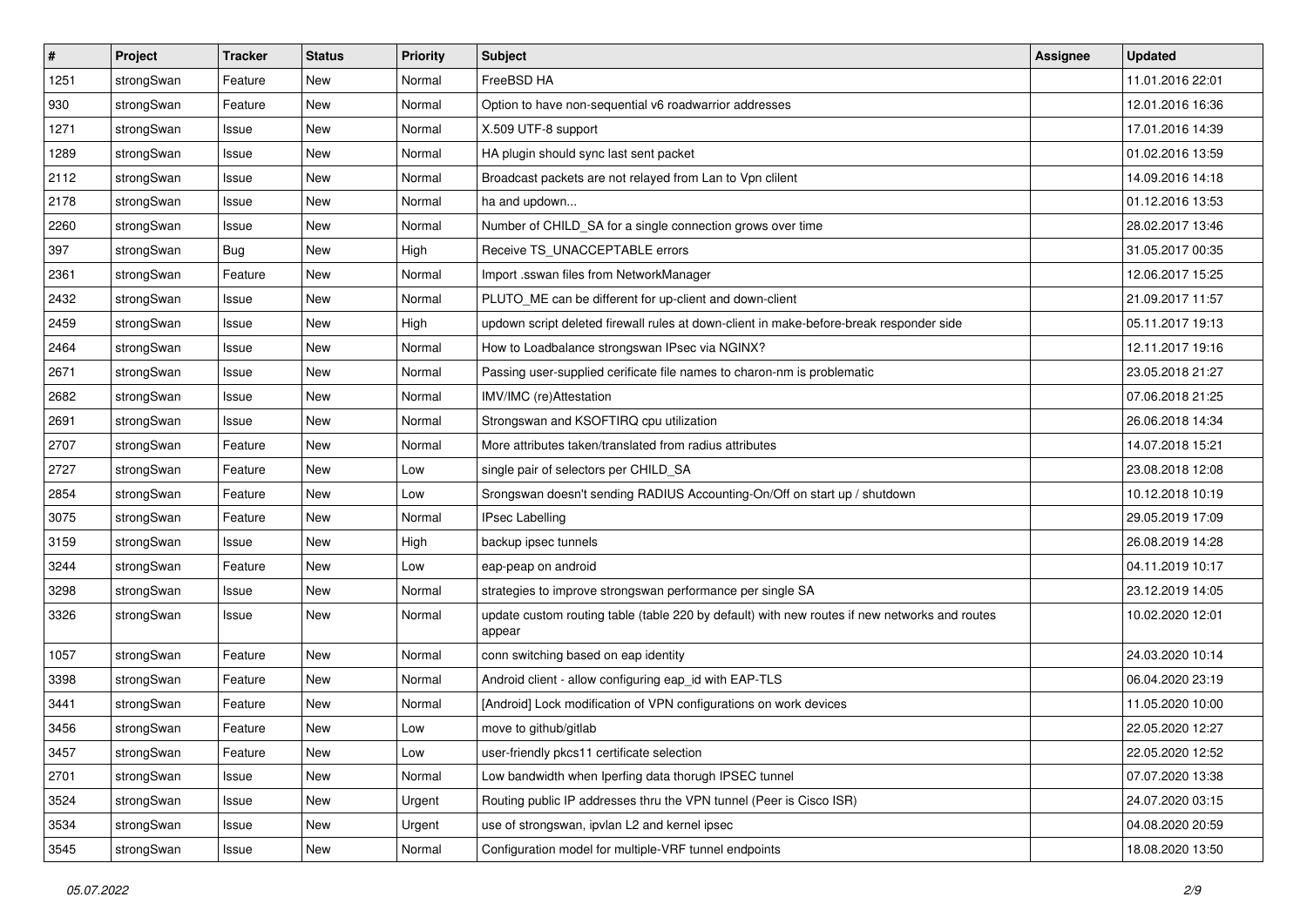| $\vert$ # | Project    | <b>Tracker</b> | <b>Status</b> | <b>Priority</b> | Subject                                                                                                 | <b>Assignee</b> | <b>Updated</b>   |
|-----------|------------|----------------|---------------|-----------------|---------------------------------------------------------------------------------------------------------|-----------------|------------------|
| 1251      | strongSwan | Feature        | New           | Normal          | FreeBSD HA                                                                                              |                 | 11.01.2016 22:01 |
| 930       | strongSwan | Feature        | New           | Normal          | Option to have non-sequential v6 roadwarrior addresses                                                  |                 | 12.01.2016 16:36 |
| 1271      | strongSwan | Issue          | New           | Normal          | X.509 UTF-8 support                                                                                     |                 | 17.01.2016 14:39 |
| 1289      | strongSwan | Issue          | New           | Normal          | HA plugin should sync last sent packet                                                                  |                 | 01.02.2016 13:59 |
| 2112      | strongSwan | Issue          | <b>New</b>    | Normal          | Broadcast packets are not relayed from Lan to Vpn clilent                                               |                 | 14.09.2016 14:18 |
| 2178      | strongSwan | Issue          | <b>New</b>    | Normal          | ha and updown                                                                                           |                 | 01.12.2016 13:53 |
| 2260      | strongSwan | Issue          | New           | Normal          | Number of CHILD_SA for a single connection grows over time                                              |                 | 28.02.2017 13:46 |
| 397       | strongSwan | Bug            | New           | High            | Receive TS_UNACCEPTABLE errors                                                                          |                 | 31.05.2017 00:35 |
| 2361      | strongSwan | Feature        | New           | Normal          | Import .sswan files from NetworkManager                                                                 |                 | 12.06.2017 15:25 |
| 2432      | strongSwan | Issue          | New           | Normal          | PLUTO_ME can be different for up-client and down-client                                                 |                 | 21.09.2017 11:57 |
| 2459      | strongSwan | Issue          | New           | High            | updown script deleted firewall rules at down-client in make-before-break responder side                 |                 | 05.11.2017 19:13 |
| 2464      | strongSwan | Issue          | New           | Normal          | How to Loadbalance strongswan IPsec via NGINX?                                                          |                 | 12.11.2017 19:16 |
| 2671      | strongSwan | Issue          | New           | Normal          | Passing user-supplied cerificate file names to charon-nm is problematic                                 |                 | 23.05.2018 21:27 |
| 2682      | strongSwan | Issue          | <b>New</b>    | Normal          | IMV/IMC (re)Attestation                                                                                 |                 | 07.06.2018 21:25 |
| 2691      | strongSwan | Issue          | <b>New</b>    | Normal          | Strongswan and KSOFTIRQ cpu utilization                                                                 |                 | 26.06.2018 14:34 |
| 2707      | strongSwan | Feature        | New           | Normal          | More attributes taken/translated from radius attributes                                                 |                 | 14.07.2018 15:21 |
| 2727      | strongSwan | Feature        | New           | Low             | single pair of selectors per CHILD_SA                                                                   |                 | 23.08.2018 12:08 |
| 2854      | strongSwan | Feature        | New           | Low             | Srongswan doesn't sending RADIUS Accounting-On/Off on start up / shutdown                               |                 | 10.12.2018 10:19 |
| 3075      | strongSwan | Feature        | New           | Normal          | <b>IPsec Labelling</b>                                                                                  |                 | 29.05.2019 17:09 |
| 3159      | strongSwan | Issue          | New           | High            | backup ipsec tunnels                                                                                    |                 | 26.08.2019 14:28 |
| 3244      | strongSwan | Feature        | New           | Low             | eap-peap on android                                                                                     |                 | 04.11.2019 10:17 |
| 3298      | strongSwan | Issue          | New           | Normal          | strategies to improve strongswan performance per single SA                                              |                 | 23.12.2019 14:05 |
| 3326      | strongSwan | Issue          | New           | Normal          | update custom routing table (table 220 by default) with new routes if new networks and routes<br>appear |                 | 10.02.2020 12:01 |
| 1057      | strongSwan | Feature        | New           | Normal          | conn switching based on eap identity                                                                    |                 | 24.03.2020 10:14 |
| 3398      | strongSwan | Feature        | <b>New</b>    | Normal          | Android client - allow configuring eap id with EAP-TLS                                                  |                 | 06.04.2020 23:19 |
| 3441      | strongSwan | Feature        | New           | Normal          | [Android] Lock modification of VPN configurations on work devices                                       |                 | 11.05.2020 10:00 |
| 3456      | strongSwan | Feature        | New           | Low             | move to github/gitlab                                                                                   |                 | 22.05.2020 12:27 |
| 3457      | strongSwan | Feature        | New           | Low             | user-friendly pkcs11 certificate selection                                                              |                 | 22.05.2020 12:52 |
| 2701      | strongSwan | Issue          | New           | Normal          | Low bandwidth when Iperfing data thorugh IPSEC tunnel                                                   |                 | 07.07.2020 13:38 |
| 3524      | strongSwan | Issue          | New           | Urgent          | Routing public IP addresses thru the VPN tunnel (Peer is Cisco ISR)                                     |                 | 24.07.2020 03:15 |
| 3534      | strongSwan | Issue          | New           | Urgent          | use of strongswan, ipvlan L2 and kernel ipsec                                                           |                 | 04.08.2020 20:59 |
| 3545      | strongSwan | Issue          | New           | Normal          | Configuration model for multiple-VRF tunnel endpoints                                                   |                 | 18.08.2020 13:50 |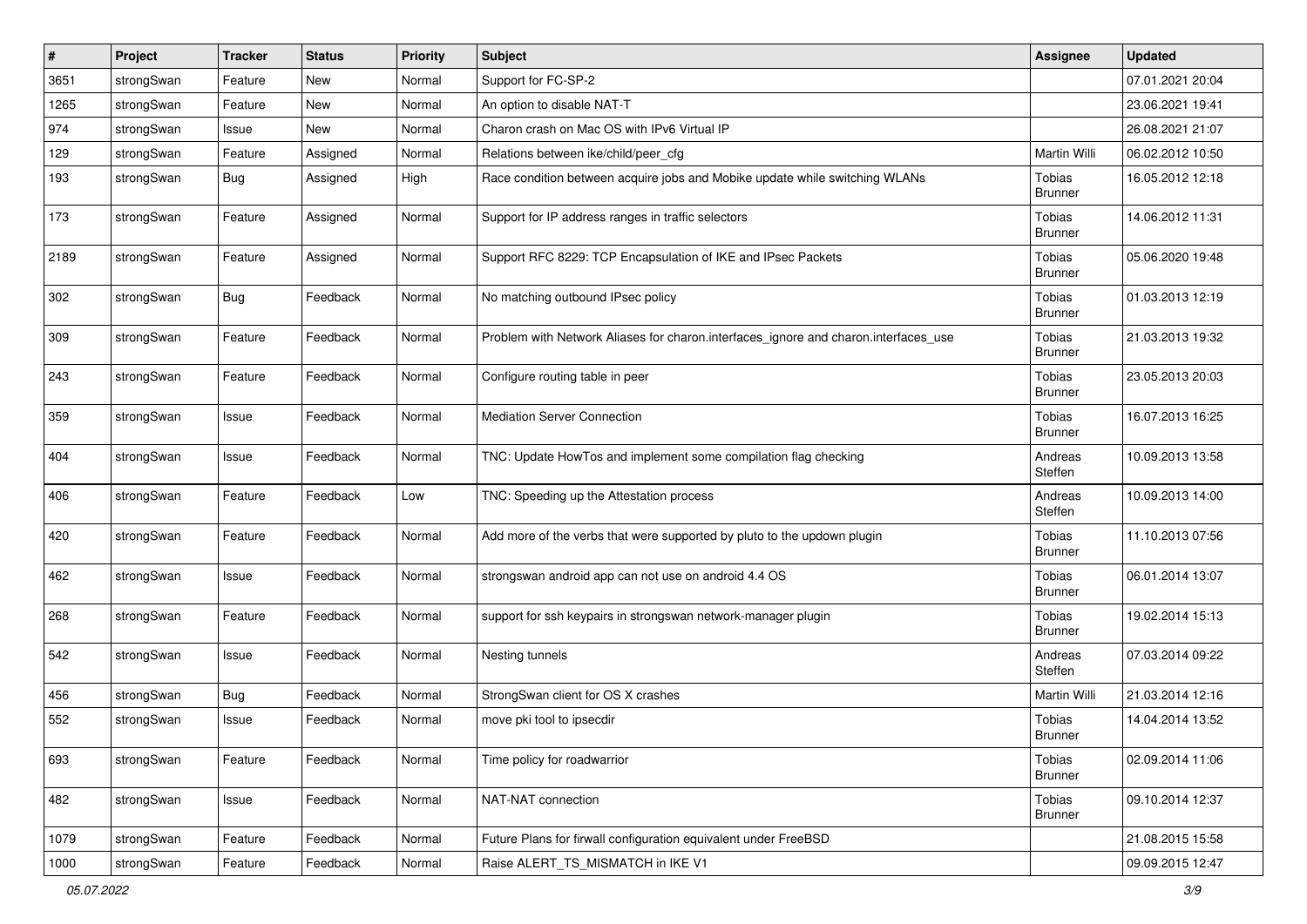| #    | Project    | <b>Tracker</b> | <b>Status</b> | <b>Priority</b> | Subject                                                                             | <b>Assignee</b>                 | <b>Updated</b>   |
|------|------------|----------------|---------------|-----------------|-------------------------------------------------------------------------------------|---------------------------------|------------------|
| 3651 | strongSwan | Feature        | New           | Normal          | Support for FC-SP-2                                                                 |                                 | 07.01.2021 20:04 |
| 1265 | strongSwan | Feature        | <b>New</b>    | Normal          | An option to disable NAT-T                                                          |                                 | 23.06.2021 19:41 |
| 974  | strongSwan | Issue          | New           | Normal          | Charon crash on Mac OS with IPv6 Virtual IP                                         |                                 | 26.08.2021 21:07 |
| 129  | strongSwan | Feature        | Assigned      | Normal          | Relations between ike/child/peer_cfg                                                | Martin Willi                    | 06.02.2012 10:50 |
| 193  | strongSwan | <b>Bug</b>     | Assigned      | High            | Race condition between acquire jobs and Mobike update while switching WLANs         | Tobias<br><b>Brunner</b>        | 16.05.2012 12:18 |
| 173  | strongSwan | Feature        | Assigned      | Normal          | Support for IP address ranges in traffic selectors                                  | Tobias<br><b>Brunner</b>        | 14.06.2012 11:31 |
| 2189 | strongSwan | Feature        | Assigned      | Normal          | Support RFC 8229: TCP Encapsulation of IKE and IPsec Packets                        | Tobias<br><b>Brunner</b>        | 05.06.2020 19:48 |
| 302  | strongSwan | <b>Bug</b>     | Feedback      | Normal          | No matching outbound IPsec policy                                                   | Tobias<br><b>Brunner</b>        | 01.03.2013 12:19 |
| 309  | strongSwan | Feature        | Feedback      | Normal          | Problem with Network Aliases for charon.interfaces_ignore and charon.interfaces_use | <b>Tobias</b><br><b>Brunner</b> | 21.03.2013 19:32 |
| 243  | strongSwan | Feature        | Feedback      | Normal          | Configure routing table in peer                                                     | Tobias<br><b>Brunner</b>        | 23.05.2013 20:03 |
| 359  | strongSwan | Issue          | Feedback      | Normal          | <b>Mediation Server Connection</b>                                                  | Tobias<br><b>Brunner</b>        | 16.07.2013 16:25 |
| 404  | strongSwan | Issue          | Feedback      | Normal          | TNC: Update HowTos and implement some compilation flag checking                     | Andreas<br>Steffen              | 10.09.2013 13:58 |
| 406  | strongSwan | Feature        | Feedback      | Low             | TNC: Speeding up the Attestation process                                            | Andreas<br>Steffen              | 10.09.2013 14:00 |
| 420  | strongSwan | Feature        | Feedback      | Normal          | Add more of the verbs that were supported by pluto to the updown plugin             | Tobias<br><b>Brunner</b>        | 11.10.2013 07:56 |
| 462  | strongSwan | Issue          | Feedback      | Normal          | strongswan android app can not use on android 4.4 OS                                | Tobias<br><b>Brunner</b>        | 06.01.2014 13:07 |
| 268  | strongSwan | Feature        | Feedback      | Normal          | support for ssh keypairs in strongswan network-manager plugin                       | <b>Tobias</b><br><b>Brunner</b> | 19.02.2014 15:13 |
| 542  | strongSwan | Issue          | Feedback      | Normal          | Nesting tunnels                                                                     | Andreas<br>Steffen              | 07.03.2014 09:22 |
| 456  | strongSwan | Bug            | Feedback      | Normal          | StrongSwan client for OS X crashes                                                  | Martin Willi                    | 21.03.2014 12:16 |
| 552  | strongSwan | Issue          | Feedback      | Normal          | move pki tool to ipsecdir                                                           | Tobias<br><b>Brunner</b>        | 14.04.2014 13:52 |
| 693  | strongSwan | Feature        | Feedback      | Normal          | Time policy for roadwarrior                                                         | <b>Tobias</b><br><b>Brunner</b> | 02.09.2014 11:06 |
| 482  | strongSwan | Issue          | Feedback      | Normal          | NAT-NAT connection                                                                  | Tobias<br><b>Brunner</b>        | 09.10.2014 12:37 |
| 1079 | strongSwan | Feature        | Feedback      | Normal          | Future Plans for firwall configuration equivalent under FreeBSD                     |                                 | 21.08.2015 15:58 |
| 1000 | strongSwan | Feature        | Feedback      | Normal          | Raise ALERT_TS_MISMATCH in IKE V1                                                   |                                 | 09.09.2015 12:47 |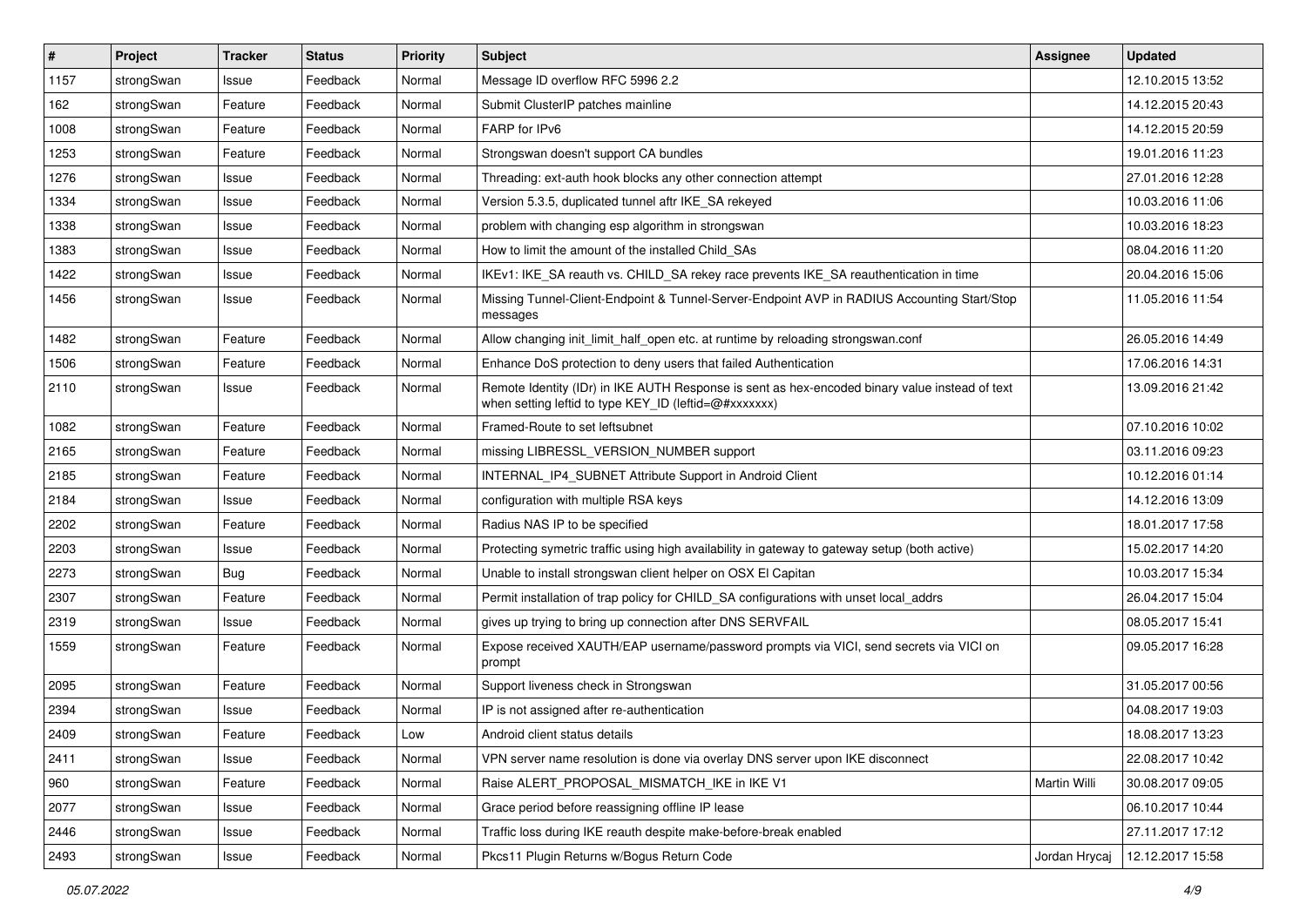| #    | Project    | <b>Tracker</b> | <b>Status</b> | <b>Priority</b> | <b>Subject</b>                                                                                                                                          | Assignee      | <b>Updated</b>   |
|------|------------|----------------|---------------|-----------------|---------------------------------------------------------------------------------------------------------------------------------------------------------|---------------|------------------|
| 1157 | strongSwan | Issue          | Feedback      | Normal          | Message ID overflow RFC 5996 2.2                                                                                                                        |               | 12.10.2015 13:52 |
| 162  | strongSwan | Feature        | Feedback      | Normal          | Submit ClusterIP patches mainline                                                                                                                       |               | 14.12.2015 20:43 |
| 1008 | strongSwan | Feature        | Feedback      | Normal          | FARP for IPv6                                                                                                                                           |               | 14.12.2015 20:59 |
| 1253 | strongSwan | Feature        | Feedback      | Normal          | Strongswan doesn't support CA bundles                                                                                                                   |               | 19.01.2016 11:23 |
| 1276 | strongSwan | Issue          | Feedback      | Normal          | Threading: ext-auth hook blocks any other connection attempt                                                                                            |               | 27.01.2016 12:28 |
| 1334 | strongSwan | Issue          | Feedback      | Normal          | Version 5.3.5, duplicated tunnel aftr IKE_SA rekeyed                                                                                                    |               | 10.03.2016 11:06 |
| 1338 | strongSwan | Issue          | Feedback      | Normal          | problem with changing esp algorithm in strongswan                                                                                                       |               | 10.03.2016 18:23 |
| 1383 | strongSwan | Issue          | Feedback      | Normal          | How to limit the amount of the installed Child_SAs                                                                                                      |               | 08.04.2016 11:20 |
| 1422 | strongSwan | Issue          | Feedback      | Normal          | IKEv1: IKE_SA reauth vs. CHILD_SA rekey race prevents IKE_SA reauthentication in time                                                                   |               | 20.04.2016 15:06 |
| 1456 | strongSwan | Issue          | Feedback      | Normal          | Missing Tunnel-Client-Endpoint & Tunnel-Server-Endpoint AVP in RADIUS Accounting Start/Stop<br>messages                                                 |               | 11.05.2016 11:54 |
| 1482 | strongSwan | Feature        | Feedback      | Normal          | Allow changing init_limit_half_open etc. at runtime by reloading strongswan.conf                                                                        |               | 26.05.2016 14:49 |
| 1506 | strongSwan | Feature        | Feedback      | Normal          | Enhance DoS protection to deny users that failed Authentication                                                                                         |               | 17.06.2016 14:31 |
| 2110 | strongSwan | Issue          | Feedback      | Normal          | Remote Identity (IDr) in IKE AUTH Response is sent as hex-encoded binary value instead of text<br>when setting leftid to type KEY_ID (leftid=@#xxxxxxx) |               | 13.09.2016 21:42 |
| 1082 | strongSwan | Feature        | Feedback      | Normal          | Framed-Route to set leftsubnet                                                                                                                          |               | 07.10.2016 10:02 |
| 2165 | strongSwan | Feature        | Feedback      | Normal          | missing LIBRESSL_VERSION_NUMBER support                                                                                                                 |               | 03.11.2016 09:23 |
| 2185 | strongSwan | Feature        | Feedback      | Normal          | INTERNAL_IP4_SUBNET Attribute Support in Android Client                                                                                                 |               | 10.12.2016 01:14 |
| 2184 | strongSwan | Issue          | Feedback      | Normal          | configuration with multiple RSA keys                                                                                                                    |               | 14.12.2016 13:09 |
| 2202 | strongSwan | Feature        | Feedback      | Normal          | Radius NAS IP to be specified                                                                                                                           |               | 18.01.2017 17:58 |
| 2203 | strongSwan | Issue          | Feedback      | Normal          | Protecting symetric traffic using high availability in gateway to gateway setup (both active)                                                           |               | 15.02.2017 14:20 |
| 2273 | strongSwan | Bug            | Feedback      | Normal          | Unable to install strongswan client helper on OSX El Capitan                                                                                            |               | 10.03.2017 15:34 |
| 2307 | strongSwan | Feature        | Feedback      | Normal          | Permit installation of trap policy for CHILD_SA configurations with unset local_addrs                                                                   |               | 26.04.2017 15:04 |
| 2319 | strongSwan | Issue          | Feedback      | Normal          | gives up trying to bring up connection after DNS SERVFAIL                                                                                               |               | 08.05.2017 15:41 |
| 1559 | strongSwan | Feature        | Feedback      | Normal          | Expose received XAUTH/EAP username/password prompts via VICI, send secrets via VICI on<br>prompt                                                        |               | 09.05.2017 16:28 |
| 2095 | strongSwan | Feature        | Feedback      | Normal          | Support liveness check in Strongswan                                                                                                                    |               | 31.05.2017 00:56 |
| 2394 | strongSwan | Issue          | Feedback      | Normal          | IP is not assigned after re-authentication                                                                                                              |               | 04.08.2017 19:03 |
| 2409 | strongSwan | Feature        | Feedback      | Low             | Android client status details                                                                                                                           |               | 18.08.2017 13:23 |
| 2411 | strongSwan | Issue          | Feedback      | Normal          | VPN server name resolution is done via overlay DNS server upon IKE disconnect                                                                           |               | 22.08.2017 10:42 |
| 960  | strongSwan | Feature        | Feedback      | Normal          | Raise ALERT_PROPOSAL_MISMATCH_IKE in IKE V1                                                                                                             | Martin Willi  | 30.08.2017 09:05 |
| 2077 | strongSwan | Issue          | Feedback      | Normal          | Grace period before reassigning offline IP lease                                                                                                        |               | 06.10.2017 10:44 |
| 2446 | strongSwan | Issue          | Feedback      | Normal          | Traffic loss during IKE reauth despite make-before-break enabled                                                                                        |               | 27.11.2017 17:12 |
| 2493 | strongSwan | Issue          | Feedback      | Normal          | Pkcs11 Plugin Returns w/Bogus Return Code                                                                                                               | Jordan Hrycaj | 12.12.2017 15:58 |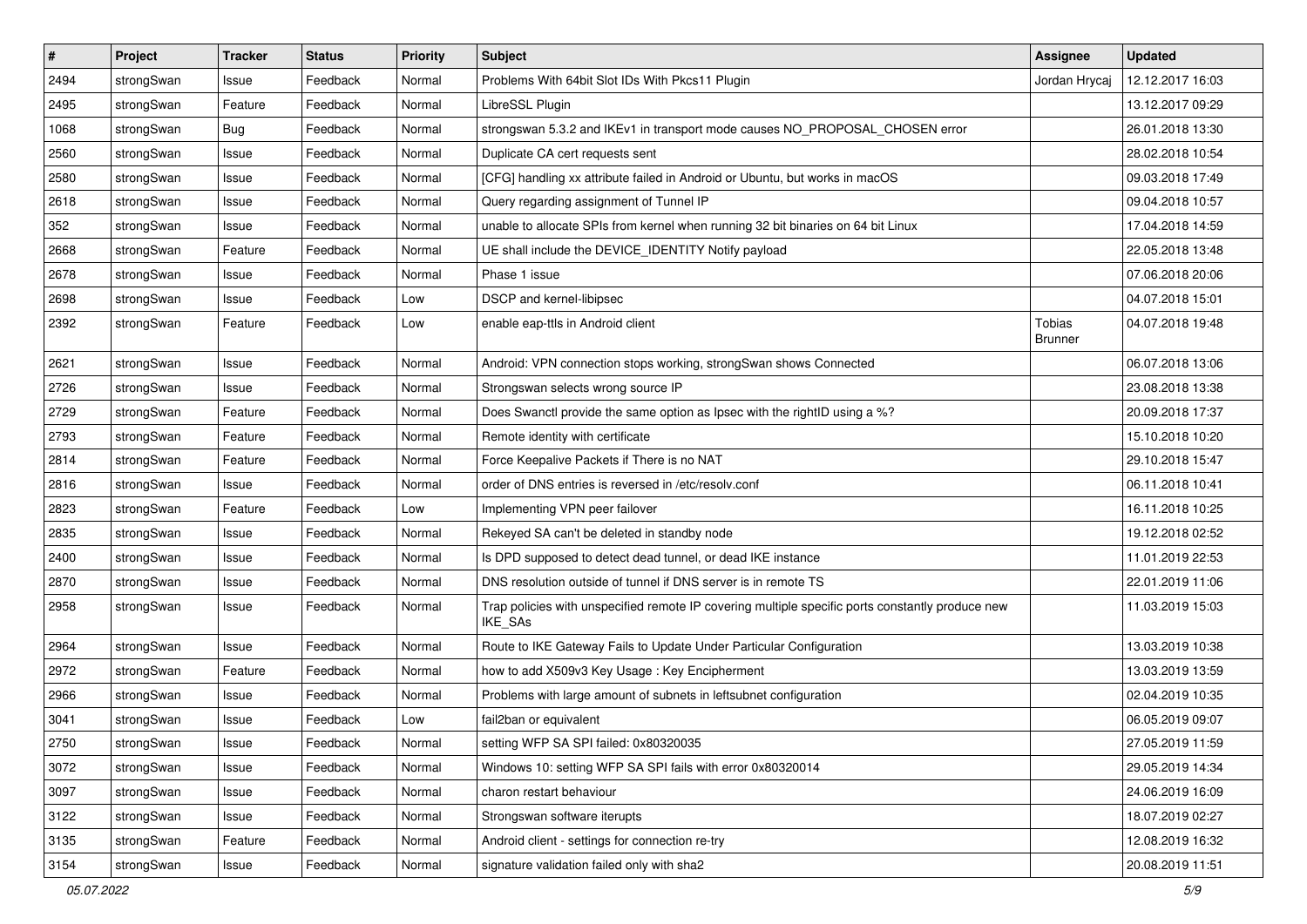| $\pmb{\#}$ | Project    | <b>Tracker</b> | <b>Status</b> | <b>Priority</b> | <b>Subject</b>                                                                                              | Assignee                        | <b>Updated</b>   |
|------------|------------|----------------|---------------|-----------------|-------------------------------------------------------------------------------------------------------------|---------------------------------|------------------|
| 2494       | strongSwan | Issue          | Feedback      | Normal          | Problems With 64bit Slot IDs With Pkcs11 Plugin                                                             | Jordan Hrycaj                   | 12.12.2017 16:03 |
| 2495       | strongSwan | Feature        | Feedback      | Normal          | LibreSSL Plugin                                                                                             |                                 | 13.12.2017 09:29 |
| 1068       | strongSwan | Bug            | Feedback      | Normal          | strongswan 5.3.2 and IKEv1 in transport mode causes NO_PROPOSAL_CHOSEN error                                |                                 | 26.01.2018 13:30 |
| 2560       | strongSwan | Issue          | Feedback      | Normal          | Duplicate CA cert requests sent                                                                             |                                 | 28.02.2018 10:54 |
| 2580       | strongSwan | Issue          | Feedback      | Normal          | [CFG] handling xx attribute failed in Android or Ubuntu, but works in macOS                                 |                                 | 09.03.2018 17:49 |
| 2618       | strongSwan | Issue          | Feedback      | Normal          | Query regarding assignment of Tunnel IP                                                                     |                                 | 09.04.2018 10:57 |
| 352        | strongSwan | Issue          | Feedback      | Normal          | unable to allocate SPIs from kernel when running 32 bit binaries on 64 bit Linux                            |                                 | 17.04.2018 14:59 |
| 2668       | strongSwan | Feature        | Feedback      | Normal          | UE shall include the DEVICE_IDENTITY Notify payload                                                         |                                 | 22.05.2018 13:48 |
| 2678       | strongSwan | Issue          | Feedback      | Normal          | Phase 1 issue                                                                                               |                                 | 07.06.2018 20:06 |
| 2698       | strongSwan | Issue          | Feedback      | Low             | DSCP and kernel-libipsec                                                                                    |                                 | 04.07.2018 15:01 |
| 2392       | strongSwan | Feature        | Feedback      | Low             | enable eap-ttls in Android client                                                                           | <b>Tobias</b><br><b>Brunner</b> | 04.07.2018 19:48 |
| 2621       | strongSwan | Issue          | Feedback      | Normal          | Android: VPN connection stops working, strongSwan shows Connected                                           |                                 | 06.07.2018 13:06 |
| 2726       | strongSwan | Issue          | Feedback      | Normal          | Strongswan selects wrong source IP                                                                          |                                 | 23.08.2018 13:38 |
| 2729       | strongSwan | Feature        | Feedback      | Normal          | Does Swanctl provide the same option as Ipsec with the rightID using a %?                                   |                                 | 20.09.2018 17:37 |
| 2793       | strongSwan | Feature        | Feedback      | Normal          | Remote identity with certificate                                                                            |                                 | 15.10.2018 10:20 |
| 2814       | strongSwan | Feature        | Feedback      | Normal          | Force Keepalive Packets if There is no NAT                                                                  |                                 | 29.10.2018 15:47 |
| 2816       | strongSwan | lssue          | Feedback      | Normal          | order of DNS entries is reversed in /etc/resolv.conf                                                        |                                 | 06.11.2018 10:41 |
| 2823       | strongSwan | Feature        | Feedback      | Low             | Implementing VPN peer failover                                                                              |                                 | 16.11.2018 10:25 |
| 2835       | strongSwan | Issue          | Feedback      | Normal          | Rekeyed SA can't be deleted in standby node                                                                 |                                 | 19.12.2018 02:52 |
| 2400       | strongSwan | Issue          | Feedback      | Normal          | Is DPD supposed to detect dead tunnel, or dead IKE instance                                                 |                                 | 11.01.2019 22:53 |
| 2870       | strongSwan | lssue          | Feedback      | Normal          | DNS resolution outside of tunnel if DNS server is in remote TS                                              |                                 | 22.01.2019 11:06 |
| 2958       | strongSwan | Issue          | Feedback      | Normal          | Trap policies with unspecified remote IP covering multiple specific ports constantly produce new<br>IKE_SAs |                                 | 11.03.2019 15:03 |
| 2964       | strongSwan | Issue          | Feedback      | Normal          | Route to IKE Gateway Fails to Update Under Particular Configuration                                         |                                 | 13.03.2019 10:38 |
| 2972       | strongSwan | Feature        | Feedback      | Normal          | how to add X509v3 Key Usage: Key Encipherment                                                               |                                 | 13.03.2019 13:59 |
| 2966       | strongSwan | Issue          | Feedback      | Normal          | Problems with large amount of subnets in leftsubnet configuration                                           |                                 | 02.04.2019 10:35 |
| 3041       | strongSwan | Issue          | Feedback      | Low             | fail2ban or equivalent                                                                                      |                                 | 06.05.2019 09:07 |
| 2750       | strongSwan | Issue          | Feedback      | Normal          | setting WFP SA SPI failed: 0x80320035                                                                       |                                 | 27.05.2019 11:59 |
| 3072       | strongSwan | Issue          | Feedback      | Normal          | Windows 10: setting WFP SA SPI fails with error 0x80320014                                                  |                                 | 29.05.2019 14:34 |
| 3097       | strongSwan | Issue          | Feedback      | Normal          | charon restart behaviour                                                                                    |                                 | 24.06.2019 16:09 |
| 3122       | strongSwan | Issue          | Feedback      | Normal          | Strongswan software iterupts                                                                                |                                 | 18.07.2019 02:27 |
| 3135       | strongSwan | Feature        | Feedback      | Normal          | Android client - settings for connection re-try                                                             |                                 | 12.08.2019 16:32 |
| 3154       | strongSwan | Issue          | Feedback      | Normal          | signature validation failed only with sha2                                                                  |                                 | 20.08.2019 11:51 |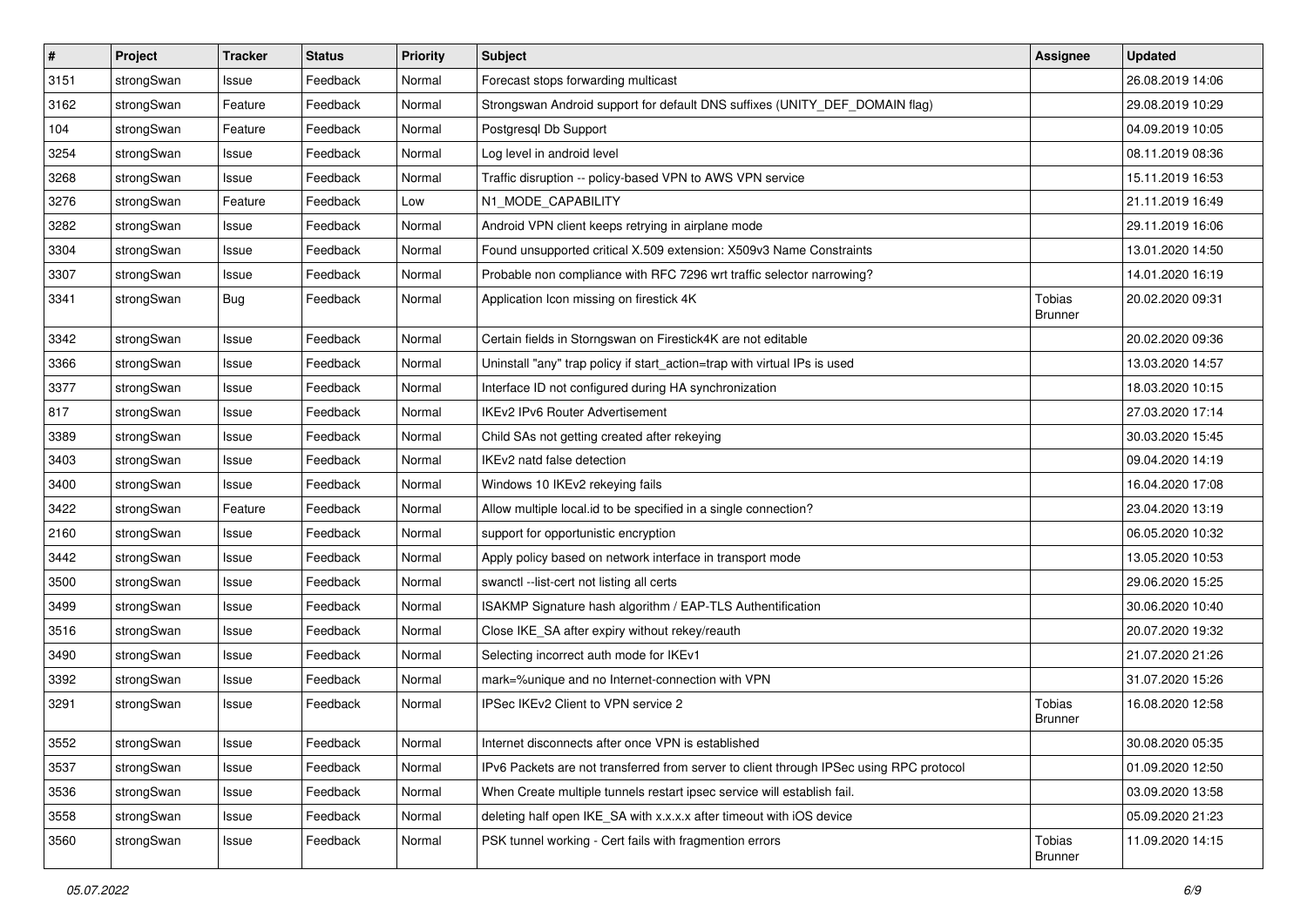| $\vert$ # | Project    | <b>Tracker</b> | <b>Status</b> | <b>Priority</b> | <b>Subject</b>                                                                          | <b>Assignee</b>                 | <b>Updated</b>   |
|-----------|------------|----------------|---------------|-----------------|-----------------------------------------------------------------------------------------|---------------------------------|------------------|
| 3151      | strongSwan | Issue          | Feedback      | Normal          | Forecast stops forwarding multicast                                                     |                                 | 26.08.2019 14:06 |
| 3162      | strongSwan | Feature        | Feedback      | Normal          | Strongswan Android support for default DNS suffixes (UNITY_DEF_DOMAIN flag)             |                                 | 29.08.2019 10:29 |
| 104       | strongSwan | Feature        | Feedback      | Normal          | Postgresql Db Support                                                                   |                                 | 04.09.2019 10:05 |
| 3254      | strongSwan | Issue          | Feedback      | Normal          | Log level in android level                                                              |                                 | 08.11.2019 08:36 |
| 3268      | strongSwan | Issue          | Feedback      | Normal          | Traffic disruption -- policy-based VPN to AWS VPN service                               |                                 | 15.11.2019 16:53 |
| 3276      | strongSwan | Feature        | Feedback      | Low             | N1 MODE CAPABILITY                                                                      |                                 | 21.11.2019 16:49 |
| 3282      | strongSwan | Issue          | Feedback      | Normal          | Android VPN client keeps retrying in airplane mode                                      |                                 | 29.11.2019 16:06 |
| 3304      | strongSwan | Issue          | Feedback      | Normal          | Found unsupported critical X.509 extension: X509v3 Name Constraints                     |                                 | 13.01.2020 14:50 |
| 3307      | strongSwan | Issue          | Feedback      | Normal          | Probable non compliance with RFC 7296 wrt traffic selector narrowing?                   |                                 | 14.01.2020 16:19 |
| 3341      | strongSwan | Bug            | Feedback      | Normal          | Application Icon missing on firestick 4K                                                | <b>Tobias</b><br><b>Brunner</b> | 20.02.2020 09:31 |
| 3342      | strongSwan | Issue          | Feedback      | Normal          | Certain fields in Storngswan on Firestick4K are not editable                            |                                 | 20.02.2020 09:36 |
| 3366      | strongSwan | Issue          | Feedback      | Normal          | Uninstall "any" trap policy if start_action=trap with virtual IPs is used               |                                 | 13.03.2020 14:57 |
| 3377      | strongSwan | Issue          | Feedback      | Normal          | Interface ID not configured during HA synchronization                                   |                                 | 18.03.2020 10:15 |
| 817       | strongSwan | Issue          | Feedback      | Normal          | <b>IKEv2 IPv6 Router Advertisement</b>                                                  |                                 | 27.03.2020 17:14 |
| 3389      | strongSwan | Issue          | Feedback      | Normal          | Child SAs not getting created after rekeying                                            |                                 | 30.03.2020 15:45 |
| 3403      | strongSwan | Issue          | Feedback      | Normal          | IKEv2 natd false detection                                                              |                                 | 09.04.2020 14:19 |
| 3400      | strongSwan | Issue          | Feedback      | Normal          | Windows 10 IKEv2 rekeying fails                                                         |                                 | 16.04.2020 17:08 |
| 3422      | strongSwan | Feature        | Feedback      | Normal          | Allow multiple local id to be specified in a single connection?                         |                                 | 23.04.2020 13:19 |
| 2160      | strongSwan | Issue          | Feedback      | Normal          | support for opportunistic encryption                                                    |                                 | 06.05.2020 10:32 |
| 3442      | strongSwan | Issue          | Feedback      | Normal          | Apply policy based on network interface in transport mode                               |                                 | 13.05.2020 10:53 |
| 3500      | strongSwan | Issue          | Feedback      | Normal          | swanctl --list-cert not listing all certs                                               |                                 | 29.06.2020 15:25 |
| 3499      | strongSwan | Issue          | Feedback      | Normal          | ISAKMP Signature hash algorithm / EAP-TLS Authentification                              |                                 | 30.06.2020 10:40 |
| 3516      | strongSwan | Issue          | Feedback      | Normal          | Close IKE_SA after expiry without rekey/reauth                                          |                                 | 20.07.2020 19:32 |
| 3490      | strongSwan | Issue          | Feedback      | Normal          | Selecting incorrect auth mode for IKEv1                                                 |                                 | 21.07.2020 21:26 |
| 3392      | strongSwan | Issue          | Feedback      | Normal          | mark=%unique and no Internet-connection with VPN                                        |                                 | 31.07.2020 15:26 |
| 3291      | strongSwan | Issue          | Feedback      | Normal          | IPSec IKEv2 Client to VPN service 2                                                     | <b>Tobias</b><br>Brunner        | 16.08.2020 12:58 |
| 3552      | strongSwan | Issue          | Feedback      | Normal          | Internet disconnects after once VPN is established                                      |                                 | 30.08.2020 05:35 |
| 3537      | strongSwan | Issue          | Feedback      | Normal          | IPv6 Packets are not transferred from server to client through IPSec using RPC protocol |                                 | 01.09.2020 12:50 |
| 3536      | strongSwan | Issue          | Feedback      | Normal          | When Create multiple tunnels restart ipsec service will establish fail.                 |                                 | 03.09.2020 13:58 |
| 3558      | strongSwan | Issue          | Feedback      | Normal          | deleting half open IKE_SA with x.x.x.x after timeout with iOS device                    |                                 | 05.09.2020 21:23 |
| 3560      | strongSwan | Issue          | Feedback      | Normal          | PSK tunnel working - Cert fails with fragmention errors                                 | Tobias<br>Brunner               | 11.09.2020 14:15 |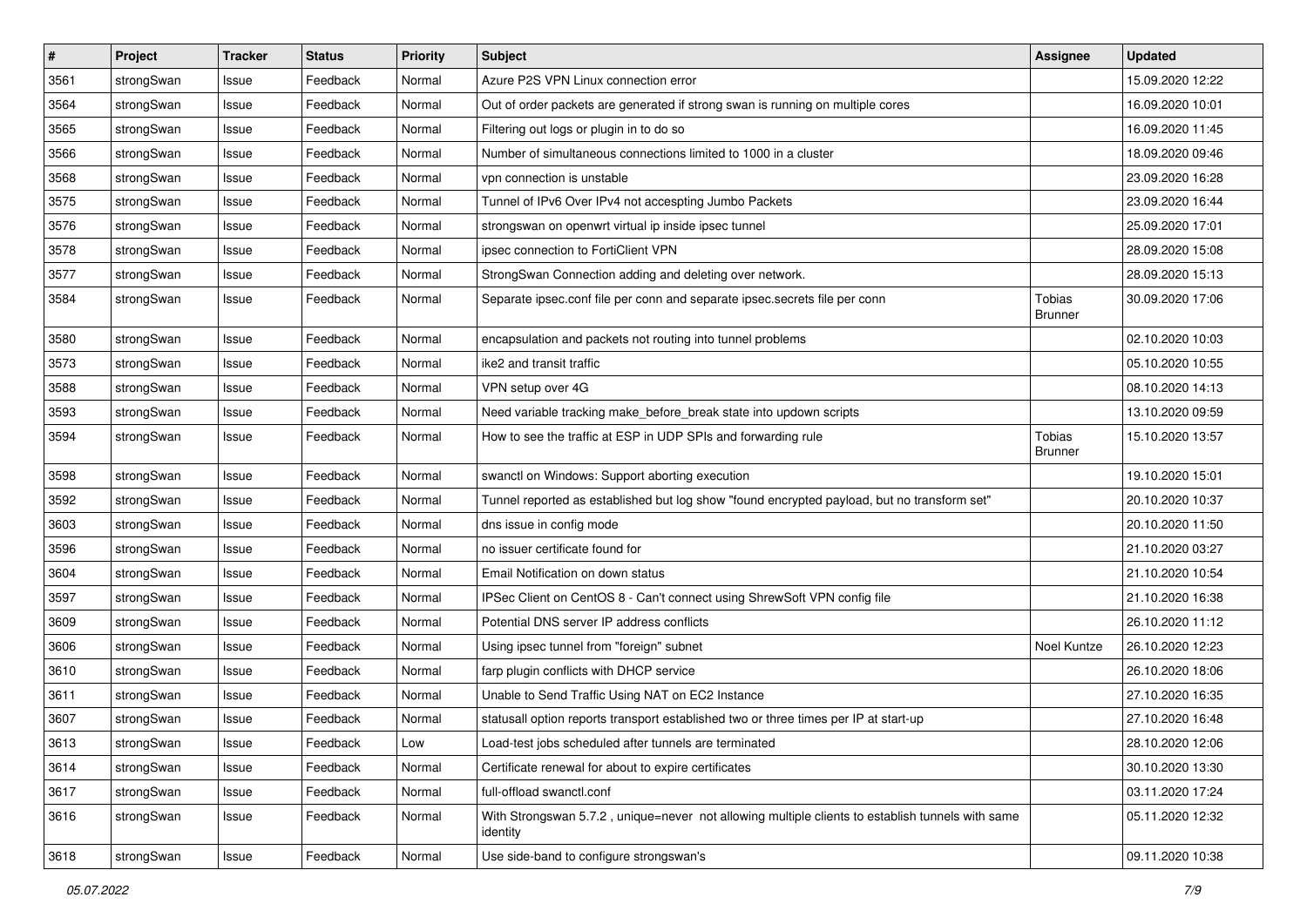| $\pmb{\#}$ | Project    | <b>Tracker</b> | <b>Status</b> | <b>Priority</b> | <b>Subject</b>                                                                                               | <b>Assignee</b>                 | <b>Updated</b>   |
|------------|------------|----------------|---------------|-----------------|--------------------------------------------------------------------------------------------------------------|---------------------------------|------------------|
| 3561       | strongSwan | Issue          | Feedback      | Normal          | Azure P2S VPN Linux connection error                                                                         |                                 | 15.09.2020 12:22 |
| 3564       | strongSwan | Issue          | Feedback      | Normal          | Out of order packets are generated if strong swan is running on multiple cores                               |                                 | 16.09.2020 10:01 |
| 3565       | strongSwan | Issue          | Feedback      | Normal          | Filtering out logs or plugin in to do so                                                                     |                                 | 16.09.2020 11:45 |
| 3566       | strongSwan | Issue          | Feedback      | Normal          | Number of simultaneous connections limited to 1000 in a cluster                                              |                                 | 18.09.2020 09:46 |
| 3568       | strongSwan | Issue          | Feedback      | Normal          | vpn connection is unstable                                                                                   |                                 | 23.09.2020 16:28 |
| 3575       | strongSwan | Issue          | Feedback      | Normal          | Tunnel of IPv6 Over IPv4 not accespting Jumbo Packets                                                        |                                 | 23.09.2020 16:44 |
| 3576       | strongSwan | Issue          | Feedback      | Normal          | strongswan on openwrt virtual ip inside ipsec tunnel                                                         |                                 | 25.09.2020 17:01 |
| 3578       | strongSwan | Issue          | Feedback      | Normal          | ipsec connection to FortiClient VPN                                                                          |                                 | 28.09.2020 15:08 |
| 3577       | strongSwan | Issue          | Feedback      | Normal          | StrongSwan Connection adding and deleting over network.                                                      |                                 | 28.09.2020 15:13 |
| 3584       | strongSwan | Issue          | Feedback      | Normal          | Separate ipsec.conf file per conn and separate ipsec.secrets file per conn                                   | Tobias<br><b>Brunner</b>        | 30.09.2020 17:06 |
| 3580       | strongSwan | Issue          | Feedback      | Normal          | encapsulation and packets not routing into tunnel problems                                                   |                                 | 02.10.2020 10:03 |
| 3573       | strongSwan | Issue          | Feedback      | Normal          | ike2 and transit traffic                                                                                     |                                 | 05.10.2020 10:55 |
| 3588       | strongSwan | Issue          | Feedback      | Normal          | VPN setup over 4G                                                                                            |                                 | 08.10.2020 14:13 |
| 3593       | strongSwan | Issue          | Feedback      | Normal          | Need variable tracking make_before_break state into updown scripts                                           |                                 | 13.10.2020 09:59 |
| 3594       | strongSwan | Issue          | Feedback      | Normal          | How to see the traffic at ESP in UDP SPIs and forwarding rule                                                | <b>Tobias</b><br><b>Brunner</b> | 15.10.2020 13:57 |
| 3598       | strongSwan | Issue          | Feedback      | Normal          | swanctl on Windows: Support aborting execution                                                               |                                 | 19.10.2020 15:01 |
| 3592       | strongSwan | Issue          | Feedback      | Normal          | Tunnel reported as established but log show "found encrypted payload, but no transform set"                  |                                 | 20.10.2020 10:37 |
| 3603       | strongSwan | Issue          | Feedback      | Normal          | dns issue in config mode                                                                                     |                                 | 20.10.2020 11:50 |
| 3596       | strongSwan | Issue          | Feedback      | Normal          | no issuer certificate found for                                                                              |                                 | 21.10.2020 03:27 |
| 3604       | strongSwan | Issue          | Feedback      | Normal          | Email Notification on down status                                                                            |                                 | 21.10.2020 10:54 |
| 3597       | strongSwan | Issue          | Feedback      | Normal          | IPSec Client on CentOS 8 - Can't connect using ShrewSoft VPN config file                                     |                                 | 21.10.2020 16:38 |
| 3609       | strongSwan | Issue          | Feedback      | Normal          | Potential DNS server IP address conflicts                                                                    |                                 | 26.10.2020 11:12 |
| 3606       | strongSwan | Issue          | Feedback      | Normal          | Using ipsec tunnel from "foreign" subnet                                                                     | Noel Kuntze                     | 26.10.2020 12:23 |
| 3610       | strongSwan | Issue          | Feedback      | Normal          | farp plugin conflicts with DHCP service                                                                      |                                 | 26.10.2020 18:06 |
| 3611       | strongSwan | Issue          | Feedback      | Normal          | Unable to Send Traffic Using NAT on EC2 Instance                                                             |                                 | 27.10.2020 16:35 |
| 3607       | strongSwan | Issue          | Feedback      | Normal          | statusall option reports transport established two or three times per IP at start-up                         |                                 | 27.10.2020 16:48 |
| 3613       | strongSwan | Issue          | Feedback      | Low             | Load-test jobs scheduled after tunnels are terminated                                                        |                                 | 28.10.2020 12:06 |
| 3614       | strongSwan | Issue          | Feedback      | Normal          | Certificate renewal for about to expire certificates                                                         |                                 | 30.10.2020 13:30 |
| 3617       | strongSwan | Issue          | Feedback      | Normal          | full-offload swanctl.conf                                                                                    |                                 | 03.11.2020 17:24 |
| 3616       | strongSwan | Issue          | Feedback      | Normal          | With Strongswan 5.7.2, unique=never not allowing multiple clients to establish tunnels with same<br>identity |                                 | 05.11.2020 12:32 |
| 3618       | strongSwan | Issue          | Feedback      | Normal          | Use side-band to configure strongswan's                                                                      |                                 | 09.11.2020 10:38 |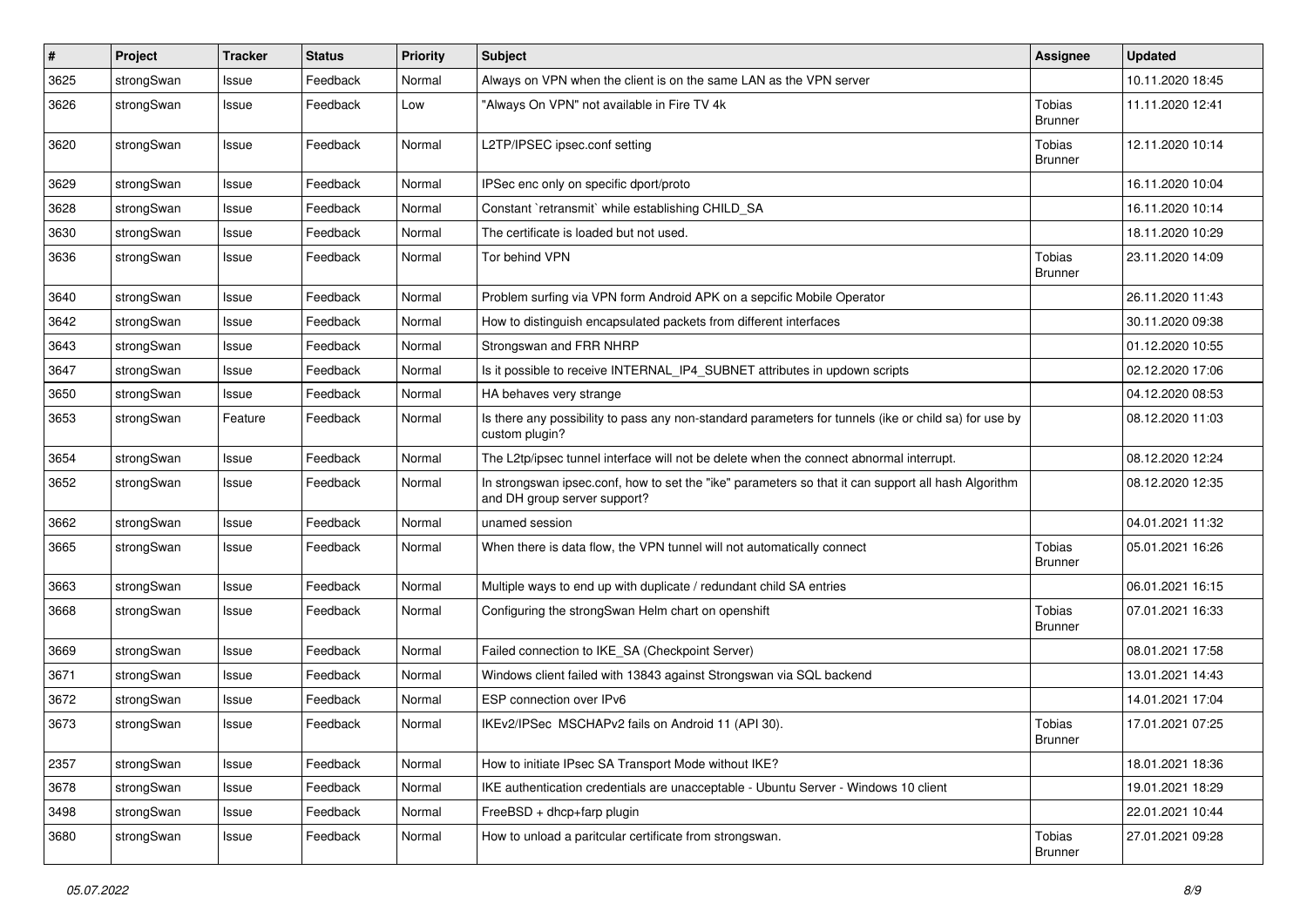| $\pmb{\#}$ | Project    | <b>Tracker</b> | <b>Status</b> | <b>Priority</b> | <b>Subject</b>                                                                                                                      | <b>Assignee</b>                 | <b>Updated</b>   |
|------------|------------|----------------|---------------|-----------------|-------------------------------------------------------------------------------------------------------------------------------------|---------------------------------|------------------|
| 3625       | strongSwan | Issue          | Feedback      | Normal          | Always on VPN when the client is on the same LAN as the VPN server                                                                  |                                 | 10.11.2020 18:45 |
| 3626       | strongSwan | Issue          | Feedback      | Low             | "Always On VPN" not available in Fire TV 4k                                                                                         | Tobias<br><b>Brunner</b>        | 11.11.2020 12:41 |
| 3620       | strongSwan | Issue          | Feedback      | Normal          | L2TP/IPSEC ipsec.conf setting                                                                                                       | Tobias<br><b>Brunner</b>        | 12.11.2020 10:14 |
| 3629       | strongSwan | Issue          | Feedback      | Normal          | IPSec enc only on specific dport/proto                                                                                              |                                 | 16.11.2020 10:04 |
| 3628       | strongSwan | Issue          | Feedback      | Normal          | Constant `retransmit` while establishing CHILD_SA                                                                                   |                                 | 16.11.2020 10:14 |
| 3630       | strongSwan | Issue          | Feedback      | Normal          | The certificate is loaded but not used.                                                                                             |                                 | 18.11.2020 10:29 |
| 3636       | strongSwan | Issue          | Feedback      | Normal          | Tor behind VPN                                                                                                                      | Tobias<br>Brunner               | 23.11.2020 14:09 |
| 3640       | strongSwan | Issue          | Feedback      | Normal          | Problem surfing via VPN form Android APK on a sepcific Mobile Operator                                                              |                                 | 26.11.2020 11:43 |
| 3642       | strongSwan | Issue          | Feedback      | Normal          | How to distinguish encapsulated packets from different interfaces                                                                   |                                 | 30.11.2020 09:38 |
| 3643       | strongSwan | Issue          | Feedback      | Normal          | Strongswan and FRR NHRP                                                                                                             |                                 | 01.12.2020 10:55 |
| 3647       | strongSwan | Issue          | Feedback      | Normal          | Is it possible to receive INTERNAL IP4 SUBNET attributes in updown scripts                                                          |                                 | 02.12.2020 17:06 |
| 3650       | strongSwan | Issue          | Feedback      | Normal          | HA behaves very strange                                                                                                             |                                 | 04.12.2020 08:53 |
| 3653       | strongSwan | Feature        | Feedback      | Normal          | Is there any possibility to pass any non-standard parameters for tunnels (ike or child sa) for use by<br>custom plugin?             |                                 | 08.12.2020 11:03 |
| 3654       | strongSwan | Issue          | Feedback      | Normal          | The L2tp/ipsec tunnel interface will not be delete when the connect abnormal interrupt.                                             |                                 | 08.12.2020 12:24 |
| 3652       | strongSwan | Issue          | Feedback      | Normal          | In strongswan ipsec.conf, how to set the "ike" parameters so that it can support all hash Algorithm<br>and DH group server support? |                                 | 08.12.2020 12:35 |
| 3662       | strongSwan | lssue          | Feedback      | Normal          | unamed session                                                                                                                      |                                 | 04.01.2021 11:32 |
| 3665       | strongSwan | Issue          | Feedback      | Normal          | When there is data flow, the VPN tunnel will not automatically connect                                                              | <b>Tobias</b><br><b>Brunner</b> | 05.01.2021 16:26 |
| 3663       | strongSwan | Issue          | Feedback      | Normal          | Multiple ways to end up with duplicate / redundant child SA entries                                                                 |                                 | 06.01.2021 16:15 |
| 3668       | strongSwan | Issue          | Feedback      | Normal          | Configuring the strongSwan Helm chart on openshift                                                                                  | Tobias<br>Brunner               | 07.01.2021 16:33 |
| 3669       | strongSwan | Issue          | Feedback      | Normal          | Failed connection to IKE_SA (Checkpoint Server)                                                                                     |                                 | 08.01.2021 17:58 |
| 3671       | strongSwan | Issue          | Feedback      | Normal          | Windows client failed with 13843 against Strongswan via SQL backend                                                                 |                                 | 13.01.2021 14:43 |
| 3672       | strongSwan | Issue          | Feedback      | Normal          | ESP connection over IPv6                                                                                                            |                                 | 14.01.2021 17:04 |
| 3673       | strongSwan | Issue          | Feedback      | Normal          | IKEv2/IPSec MSCHAPv2 fails on Android 11 (API 30).                                                                                  | Tobias<br><b>Brunner</b>        | 17.01.2021 07:25 |
| 2357       | strongSwan | Issue          | Feedback      | Normal          | How to initiate IPsec SA Transport Mode without IKE?                                                                                |                                 | 18.01.2021 18:36 |
| 3678       | strongSwan | Issue          | Feedback      | Normal          | IKE authentication credentials are unacceptable - Ubuntu Server - Windows 10 client                                                 |                                 | 19.01.2021 18:29 |
| 3498       | strongSwan | Issue          | Feedback      | Normal          | FreeBSD + dhcp+farp plugin                                                                                                          |                                 | 22.01.2021 10:44 |
| 3680       | strongSwan | Issue          | Feedback      | Normal          | How to unload a paritcular certificate from strongswan.                                                                             | Tobias<br>Brunner               | 27.01.2021 09:28 |